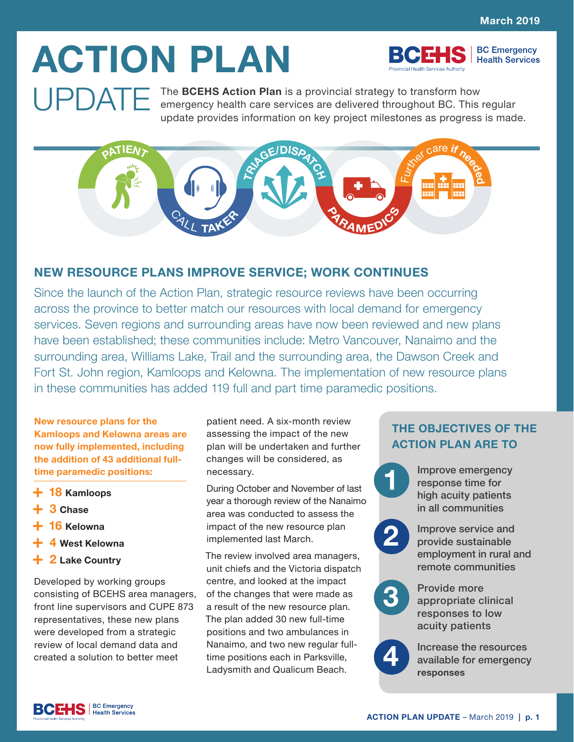**BC Emergency Health Services** 

# **ACTION PLAN**

**UPDATE** The **BCEHS Action Plan** is a provincial strategy to transform how<br>emergency health care services are delivered that with the motion emergency health care services are delivered throughout BC. This regular update provides information on key project milestones as progress is made.



# **NEW RESOURCE PLANS IMPROVE SERVICE; WORK CONTINUES**

Since the launch of the Action Plan, strategic resource reviews have been occurring across the province to better match our resources with local demand for emergency services. Seven regions and surrounding areas have now been reviewed and new plans have been established; these communities include: Metro Vancouver, Nanaimo and the surrounding area, Williams Lake, Trail and the surrounding area, the Dawson Creek and Fort St. John region, Kamloops and Kelowna. The implementation of new resource plans in these communities has added 119 full and part time paramedic positions.

**New resource plans for the Kamloops and Kelowna areas are now fully implemented, including the addition of 43 additional fulltime paramedic positions:**

- **+ 18 Kamloops**
- **+ 3 Chase**
- **+ 16 Kelowna**
- **+ 4 West Kelowna**
- **+ 2 Lake Country**

Developed by working groups consisting of BCEHS area managers, front line supervisors and CUPE 873 representatives, these new plans were developed from a strategic review of local demand data and created a solution to better meet

patient need. A six-month review assessing the impact of the new plan will be undertaken and further changes will be considered, as necessary.

During October and November of last year a thorough review of the Nanaimo area was conducted to assess the impact of the new resource plan implemented last March.

The review involved area managers, unit chiefs and the Victoria dispatch centre, and looked at the impact of the changes that were made as a result of the new resource plan. The plan added 30 new full-time positions and two ambulances in Nanaimo, and two new regular fulltime positions each in Parksville, Ladysmith and Qualicum Beach.

# **THE OBJECTIVES OF THE ACTION PLAN ARE TO**

Improve emergency response time for high acuity patients in all communities

Improve service and provide sustainable employment in rural and remote communities **2**

Provide more appropriate clinical responses to low

acuity patients

**4**

**3**

**1**

Increase the resources available for emergency **responses**

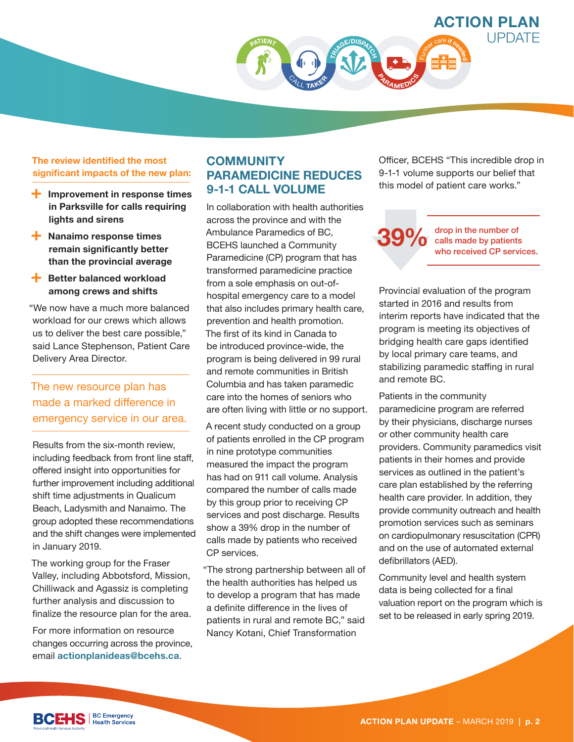

#### **The review identified the most significant impacts of the new plan:**

- **+ Improvement in response times in Parksville for calls requiring lights and sirens**
- **+ Nanaimo response times remain significantly better than the provincial average**
- **+ Better balanced workload among crews and shifts**

"We now have a much more balanced workload for our crews which allows us to deliver the best care possible," said Lance Stephenson, Patient Care Delivery Area Director.

# The new resource plan has made a marked difference in emergency service in our area.

Results from the six-month review, including feedback from front line staff, offered insight into opportunities for further improvement including additional shift time adjustments in Qualicum Beach, Ladysmith and Nanaimo. The group adopted these recommendations and the shift changes were implemented in January 2019.

The working group for the Fraser Valley, including Abbotsford, Mission, Chilliwack and Agassiz is completing further analysis and discussion to finalize the resource plan for the area.

For more information on resource changes occurring across the province, email **actionplanideas@bcehs.ca**.

# **COMMUNITY PARAMEDICINE REDUCES 9-1-1 CALL VOLUME**

In collaboration with health authorities across the province and with the Ambulance Paramedics of BC, BCEHS launched a Community Paramedicine (CP) program that has transformed paramedicine practice from a sole emphasis on out-ofhospital emergency care to a model that also includes primary health care, prevention and health promotion. The first of its kind in Canada to be introduced province-wide, the program is being delivered in 99 rural and remote communities in British Columbia and has taken paramedic care into the homes of seniors who are often living with little or no support.

A recent study conducted on a group of patients enrolled in the CP program in nine prototype communities measured the impact the program has had on 911 call volume. Analysis compared the number of calls made by this group prior to receiving CP services and post discharge. Results show a 39% drop in the number of calls made by patients who received CP services.

"The strong partnership between all of the health authorities has helped us to develop a program that has made a definite difference in the lives of patients in rural and remote BC," said Nancy Kotani, Chief Transformation

Officer, BCEHS "This incredible drop in 9-1-1 volume supports our belief that this model of patient care works."

#### **39%** drop in the number of<br>who received CP servi calls made by patients who received CP services.

Provincial evaluation of the program started in 2016 and results from interim reports have indicated that the program is meeting its objectives of bridging health care gaps identified by local primary care teams, and stabilizing paramedic staffing in rural and remote BC.

Patients in the community paramedicine program are referred by their physicians, discharge nurses or other community health care providers. Community paramedics visit patients in their homes and provide services as outlined in the patient's care plan established by the referring health care provider. In addition, they provide community outreach and health promotion services such as seminars on cardiopulmonary resuscitation (CPR) and on the use of automated external defibrillators (AED).

Community level and health system data is being collected for a final valuation report on the program which is set to be released in early spring 2019.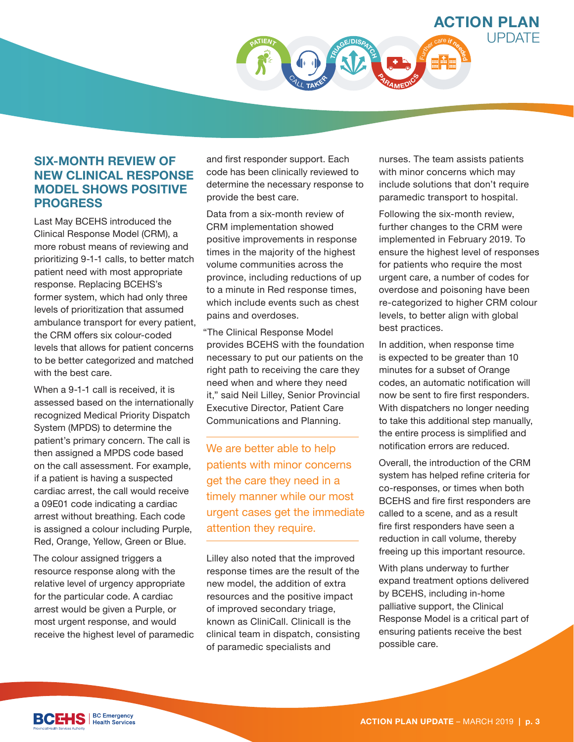

# **SIX-MONTH REVIEW OF NEW CLINICAL RESPONSE MODEL SHOWS POSITIVE PROGRESS**

Last May BCEHS introduced the Clinical Response Model (CRM), a more robust means of reviewing and prioritizing 9-1-1 calls, to better match patient need with most appropriate response. Replacing BCEHS's former system, which had only three levels of prioritization that assumed ambulance transport for every patient, the CRM offers six colour-coded levels that allows for patient concerns to be better categorized and matched with the best care.

When a 9-1-1 call is received, it is assessed based on the internationally recognized Medical Priority Dispatch System (MPDS) to determine the patient's primary concern. The call is then assigned a MPDS code based on the call assessment. For example, if a patient is having a suspected cardiac arrest, the call would receive a 09E01 code indicating a cardiac arrest without breathing. Each code is assigned a colour including Purple, Red, Orange, Yellow, Green or Blue.

The colour assigned triggers a resource response along with the relative level of urgency appropriate for the particular code. A cardiac arrest would be given a Purple, or most urgent response, and would receive the highest level of paramedic and first responder support. Each code has been clinically reviewed to determine the necessary response to provide the best care.

Data from a six-month review of CRM implementation showed positive improvements in response times in the majority of the highest volume communities across the province, including reductions of up to a minute in Red response times, which include events such as chest pains and overdoses.

"The Clinical Response Model provides BCEHS with the foundation necessary to put our patients on the right path to receiving the care they need when and where they need it," said Neil Lilley, Senior Provincial Executive Director, Patient Care Communications and Planning.

We are better able to help patients with minor concerns get the care they need in a timely manner while our most urgent cases get the immediate attention they require.

Lilley also noted that the improved response times are the result of the new model, the addition of extra resources and the positive impact of improved secondary triage, known as CliniCall. Clinicall is the clinical team in dispatch, consisting of paramedic specialists and

nurses. The team assists patients with minor concerns which may include solutions that don't require paramedic transport to hospital.

Following the six-month review, further changes to the CRM were implemented in February 2019. To ensure the highest level of responses for patients who require the most urgent care, a number of codes for overdose and poisoning have been re-categorized to higher CRM colour levels, to better align with global best practices.

In addition, when response time is expected to be greater than 10 minutes for a subset of Orange codes, an automatic notification will now be sent to fire first responders. With dispatchers no longer needing to take this additional step manually, the entire process is simplified and notification errors are reduced.

Overall, the introduction of the CRM system has helped refine criteria for co-responses, or times when both BCEHS and fire first responders are called to a scene, and as a result fire first responders have seen a reduction in call volume, thereby freeing up this important resource.

With plans underway to further expand treatment options delivered by BCEHS, including in-home palliative support, the Clinical Response Model is a critical part of ensuring patients receive the best possible care.

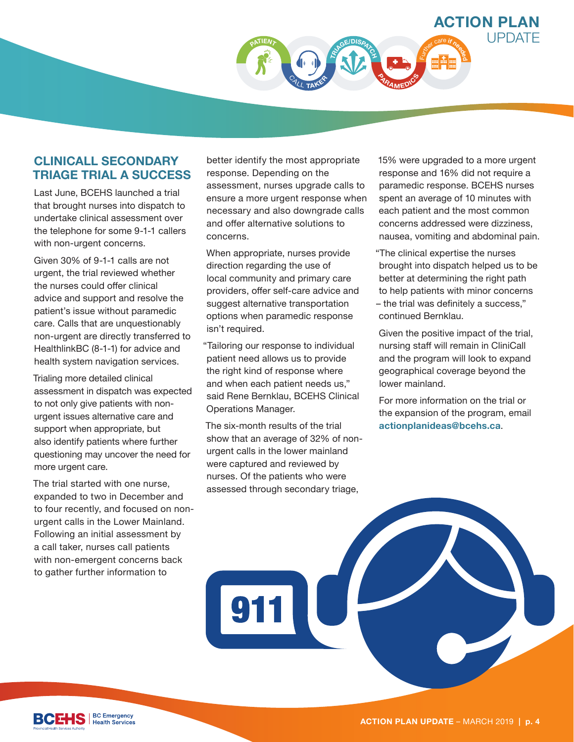

# **CLINICALL SECONDARY TRIAGE TRIAL A SUCCESS**

Last June, BCEHS launched a trial that brought nurses into dispatch to undertake clinical assessment over the telephone for some 9-1-1 callers with non-urgent concerns.

Given 30% of 9-1-1 calls are not urgent, the trial reviewed whether the nurses could offer clinical advice and support and resolve the patient's issue without paramedic care. Calls that are unquestionably non-urgent are directly transferred to HealthlinkBC (8-1-1) for advice and health system navigation services.

Trialing more detailed clinical assessment in dispatch was expected to not only give patients with nonurgent issues alternative care and support when appropriate, but also identify patients where further questioning may uncover the need for more urgent care.

The trial started with one nurse, expanded to two in December and to four recently, and focused on nonurgent calls in the Lower Mainland. Following an initial assessment by a call taker, nurses call patients with non-emergent concerns back to gather further information to

better identify the most appropriate response. Depending on the assessment, nurses upgrade calls to ensure a more urgent response when necessary and also downgrade calls and offer alternative solutions to concerns.

When appropriate, nurses provide direction regarding the use of local community and primary care providers, offer self-care advice and suggest alternative transportation options when paramedic response isn't required.

"Tailoring our response to individual patient need allows us to provide the right kind of response where and when each patient needs us," said Rene Bernklau, BCEHS Clinical Operations Manager.

The six-month results of the trial show that an average of 32% of nonurgent calls in the lower mainland were captured and reviewed by nurses. Of the patients who were assessed through secondary triage,

15% were upgraded to a more urgent response and 16% did not require a paramedic response. BCEHS nurses spent an average of 10 minutes with each patient and the most common concerns addressed were dizziness, nausea, vomiting and abdominal pain.

"The clinical expertise the nurses brought into dispatch helped us to be better at determining the right path to help patients with minor concerns – the trial was definitely a success," continued Bernklau.

Given the positive impact of the trial, nursing staff will remain in CliniCall and the program will look to expand geographical coverage beyond the lower mainland.

For more information on the trial or the expansion of the program, email **actionplanideas@bcehs.ca**.

**BC Emergency Health Services**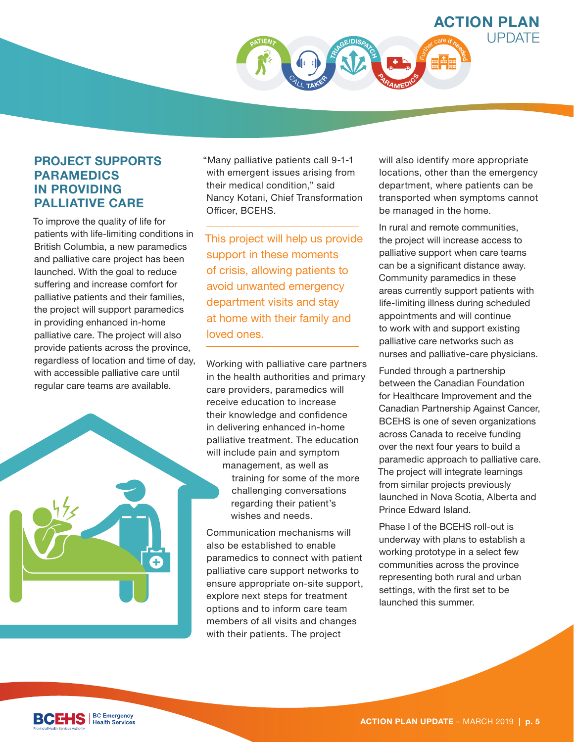

# **PROJECT SUPPORTS PARAMEDICS IN PROVIDING PALLIATIVE CARE**

To improve the quality of life for patients with life-limiting conditions in British Columbia, a new paramedics and palliative care project has been launched. With the goal to reduce suffering and increase comfort for palliative patients and their families, the project will support paramedics in providing enhanced in-home palliative care. The project will also provide patients across the province, regardless of location and time of day, with accessible palliative care until regular care teams are available.



"Many palliative patients call 9-1-1 with emergent issues arising from their medical condition," said Nancy Kotani, Chief Transformation Officer, BCEHS.

This project will help us provide support in these moments of crisis, allowing patients to avoid unwanted emergency department visits and stay at home with their family and loved ones.

Working with palliative care partners in the health authorities and primary care providers, paramedics will receive education to increase their knowledge and confidence in delivering enhanced in-home palliative treatment. The education will include pain and symptom management, as well as training for some of the more challenging conversations regarding their patient's wishes and needs.

Communication mechanisms will also be established to enable paramedics to connect with patient palliative care support networks to ensure appropriate on-site support, explore next steps for treatment options and to inform care team members of all visits and changes with their patients. The project

will also identify more appropriate locations, other than the emergency department, where patients can be transported when symptoms cannot be managed in the home.

In rural and remote communities, the project will increase access to palliative support when care teams can be a significant distance away. Community paramedics in these areas currently support patients with life-limiting illness during scheduled appointments and will continue to work with and support existing palliative care networks such as nurses and palliative-care physicians.

Funded through a partnership between the Canadian Foundation for Healthcare Improvement and the Canadian Partnership Against Cancer, BCEHS is one of seven organizations across Canada to receive funding over the next four years to build a paramedic approach to palliative care. The project will integrate learnings from similar projects previously launched in Nova Scotia, Alberta and Prince Edward Island.

Phase I of the BCEHS roll-out is underway with plans to establish a working prototype in a select few communities across the province representing both rural and urban settings, with the first set to be launched this summer.